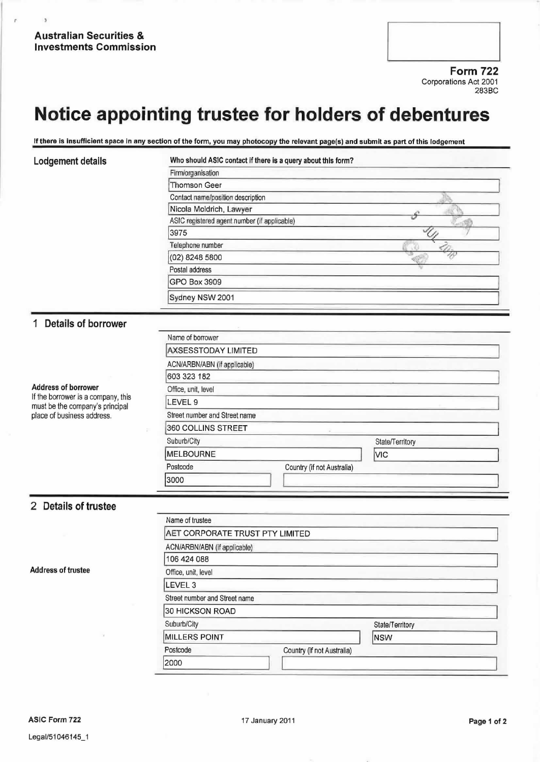r

 $\overline{ }$ 

Form 722 Corporations Act 2001 283BC

## Notice appointing trustee for holders of debentures

If there is insufficient space in any section of the form, you may photocopy the relevant page(s) and submit as part of this lodgement

| Lodgement details                                                                                                                 | Who should ASIC contact if there is a query about this form?                                                 |                 |  |                  |  |
|-----------------------------------------------------------------------------------------------------------------------------------|--------------------------------------------------------------------------------------------------------------|-----------------|--|------------------|--|
|                                                                                                                                   | Firm/organisation                                                                                            |                 |  |                  |  |
|                                                                                                                                   | <b>Thomson Geer</b>                                                                                          |                 |  |                  |  |
|                                                                                                                                   | Contact name/position description<br>Nicola Moldrich, Lawyer<br>ASIC registered agent number (if applicable) |                 |  |                  |  |
|                                                                                                                                   |                                                                                                              |                 |  | 3975             |  |
|                                                                                                                                   |                                                                                                              |                 |  | Telephone number |  |
|                                                                                                                                   | (02) 8248 5800                                                                                               |                 |  |                  |  |
|                                                                                                                                   | Postal address                                                                                               |                 |  |                  |  |
|                                                                                                                                   | <b>GPO Box 3909</b>                                                                                          |                 |  |                  |  |
|                                                                                                                                   | Sydney NSW 2001                                                                                              |                 |  |                  |  |
|                                                                                                                                   |                                                                                                              |                 |  |                  |  |
|                                                                                                                                   | 1 Details of borrower                                                                                        |                 |  |                  |  |
|                                                                                                                                   | Name of borrower                                                                                             |                 |  |                  |  |
|                                                                                                                                   | <b>AXSESSTODAY LIMITED</b>                                                                                   |                 |  |                  |  |
|                                                                                                                                   | ACN/ARBN/ABN (if applicable)                                                                                 |                 |  |                  |  |
| <b>Address of borrower</b><br>If the borrower is a company, this<br>must be the company's principal<br>place of business address. | 603 323 182                                                                                                  |                 |  |                  |  |
|                                                                                                                                   | Office, unit, level                                                                                          |                 |  |                  |  |
|                                                                                                                                   | LEVEL 9                                                                                                      |                 |  |                  |  |
|                                                                                                                                   | Street number and Street name                                                                                |                 |  |                  |  |
|                                                                                                                                   | 360 COLLINS STREET                                                                                           |                 |  |                  |  |
|                                                                                                                                   | Suburb/City                                                                                                  | State/Territory |  |                  |  |
|                                                                                                                                   | <b>MELBOURNE</b>                                                                                             | <b>VIC</b>      |  |                  |  |
|                                                                                                                                   | Postcode<br>Country (if not Australia)                                                                       |                 |  |                  |  |
|                                                                                                                                   | 3000                                                                                                         |                 |  |                  |  |
|                                                                                                                                   |                                                                                                              |                 |  |                  |  |
| 2 Details of trustee                                                                                                              |                                                                                                              |                 |  |                  |  |
|                                                                                                                                   | Name of trustee                                                                                              |                 |  |                  |  |
|                                                                                                                                   | AET CORPORATE TRUST PTY LIMITED                                                                              |                 |  |                  |  |
| <b>Address of trustee</b>                                                                                                         | ACN/ARBN/ABN (if applicable)                                                                                 |                 |  |                  |  |
|                                                                                                                                   | 106 424 088                                                                                                  |                 |  |                  |  |
|                                                                                                                                   | Office, unit, level                                                                                          |                 |  |                  |  |
|                                                                                                                                   | LEVEL 3                                                                                                      |                 |  |                  |  |

Postcode Country (if not Australia)

Suburb/City Suburb/City State/Territory MILLERS POINT NSW

Street number and Street name 30 HICKSON ROAD

2000